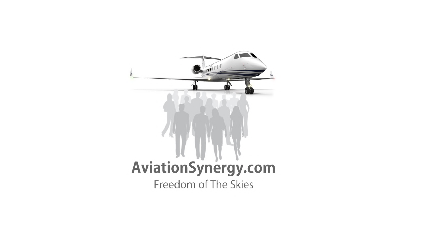# AviationSynergy.com Freedom of The Skies

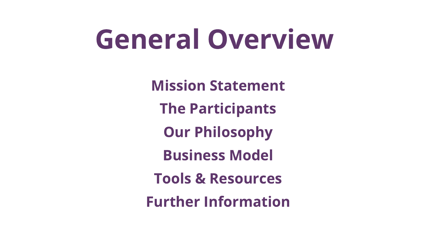# General Overview

Mission Statement The Participants Our Philosophy Business Model Tools & Resources Further Information

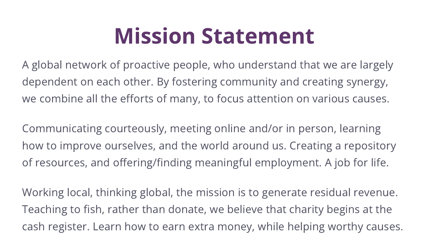#### Mission Statement

A global network of proactive people, who understand that we are largely dependent on each other. By fostering community and creating synergy, we combine all the efforts of many, to focus attention on various causes.

Communicating courteously, meeting online and/or in person, learning how to improve ourselves, and the world around us. Creating a repository of resources, and offering/finding meaningful employment. A job for life.

Working local, thinking global, the mission is to generate residual revenue. Teaching to fish, rather than donate, we believe that charity begins at the cash register. Learn how to earn extra money, while helping worthy causes.

- 
- 
-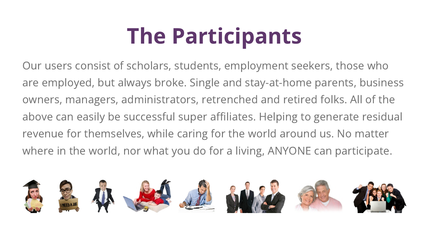### The Participants

Our users consist of scholars, students, employment seekers, those who are employed, but always broke. Single and stay-at-home parents, business owners, managers, administrators, retrenched and retired folks. All of the above can easily be successful super affiliates. Helping to generate residual revenue for themselves, while caring for the world around us. No matter where in the world, nor what you do for a living, ANYONE can participate.

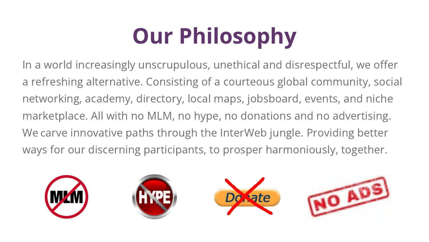## Our Philosophy

In a world increasingly unscrupulous, unethical and disrespectful, we offer a refreshing alternative. Consisting of a courteous global community, social networking, academy, directory, local maps, jobsboard, events, and niche marketplace. All with no MLM, no hype, no donations and no advertising. We carve innovative paths through the InterWeb jungle. Providing better ways for our discerning participants, to prosper harmoniously, together.







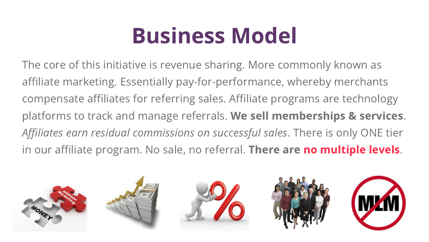#### Business Model

The core of this initiative is revenue sharing. More commonly known as affiliate marketing. Essentially pay-for-performance, whereby merchants compensate affiliates for referring sales. Affiliate programs are technology platforms to track and manage referrals. We sell memberships & services. Affiliates earn residual commissions on successful sales. There is only ONE tier in our affiliate program. No sale, no referral. There are no multiple levels.









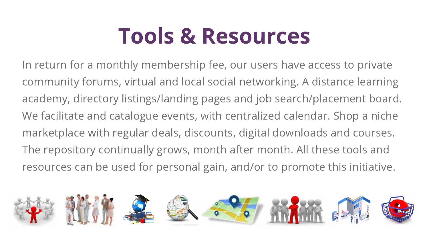### Tools & Resources

In return for a monthly membership fee, our users have access to private community forums, virtual and local social networking. A distance learning academy, directory listings/landing pages and job search/placement board. We facilitate and catalogue events, with centralized calendar. Shop a niche marketplace with regular deals, discounts, digital downloads and courses. The repository continually grows, month after month. All these tools and resources can be used for personal gain, and/or to promote this initiative.

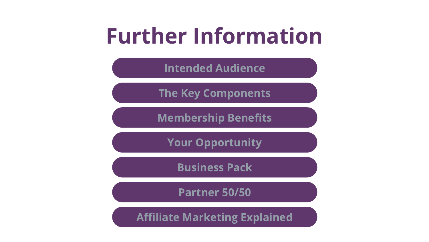#### Further Information

Intended [Audience](https://aviationsynergy.com/presentations/audience/)

The Key [Components](https://aviationsynergy.com/presentations/components/)

[Business](https://aviationsynergy.com/presentations/business/) Pack

[Partner](https://aviationsynergy.com/presentations/partners/) 50/50

[Membership](https://aviationsynergy.com/presentations/benefits/) Benefits

Your [Opportunity](https://aviationsynergy.com/presentations/opportunity/)

Affiliate [Marketing](https://aviationsynergy.com/presentations/affiliates/) Explained